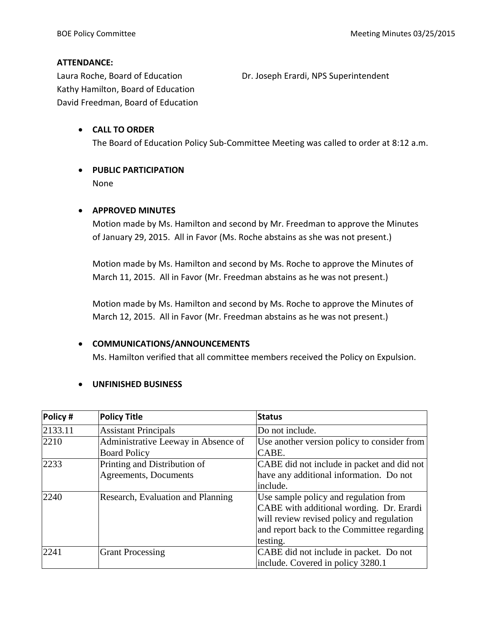## **ATTENDANCE:**

Laura Roche, Board of Education **Dr. Joseph Erardi, NPS Superintendent** Kathy Hamilton, Board of Education David Freedman, Board of Education

## **CALL TO ORDER** The Board of Education Policy Sub-Committee Meeting was called to order at 8:12 a.m.

# **PUBLIC PARTICIPATION**

None

## **APPROVED MINUTES**

Motion made by Ms. Hamilton and second by Mr. Freedman to approve the Minutes of January 29, 2015. All in Favor (Ms. Roche abstains as she was not present.)

Motion made by Ms. Hamilton and second by Ms. Roche to approve the Minutes of March 11, 2015. All in Favor (Mr. Freedman abstains as he was not present.)

Motion made by Ms. Hamilton and second by Ms. Roche to approve the Minutes of March 12, 2015. All in Favor (Mr. Freedman abstains as he was not present.)

#### **COMMUNICATIONS/ANNOUNCEMENTS**

Ms. Hamilton verified that all committee members received the Policy on Expulsion.

## **UNFINISHED BUSINESS**

| Policy # | <b>Policy Title</b>                 | <b>Status</b>                               |
|----------|-------------------------------------|---------------------------------------------|
| 2133.11  | <b>Assistant Principals</b>         | Do not include.                             |
| 2210     | Administrative Leeway in Absence of | Use another version policy to consider from |
|          | <b>Board Policy</b>                 | CABE.                                       |
| 2233     | Printing and Distribution of        | CABE did not include in packet and did not  |
|          | Agreements, Documents               | have any additional information. Do not     |
|          |                                     | include.                                    |
| 2240     | Research, Evaluation and Planning   | Use sample policy and regulation from       |
|          |                                     | CABE with additional wording. Dr. Erardi    |
|          |                                     | will review revised policy and regulation   |
|          |                                     | and report back to the Committee regarding  |
|          |                                     | testing.                                    |
| 2241     | <b>Grant Processing</b>             | CABE did not include in packet. Do not      |
|          |                                     | include. Covered in policy 3280.1           |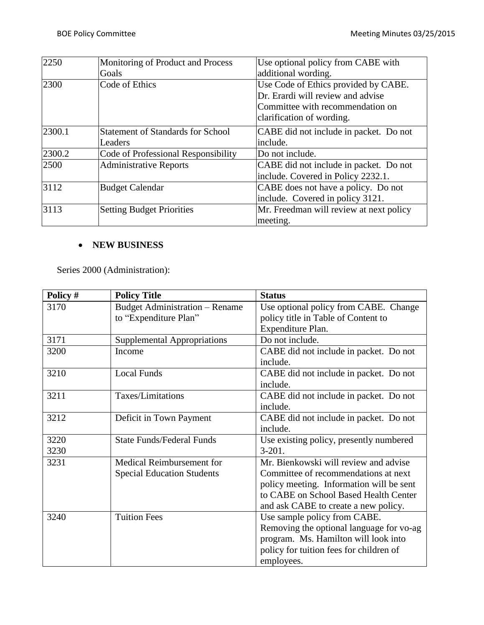| 2250   | Monitoring of Product and Process   | Use optional policy from CABE with      |  |
|--------|-------------------------------------|-----------------------------------------|--|
|        | Goals                               | additional wording.                     |  |
| 2300   | Code of Ethics                      | Use Code of Ethics provided by CABE.    |  |
|        |                                     | Dr. Erardi will review and advise       |  |
|        |                                     | Committee with recommendation on        |  |
|        |                                     | clarification of wording.               |  |
| 2300.1 | Statement of Standards for School   | CABE did not include in packet. Do not  |  |
|        | Leaders                             | include.                                |  |
| 2300.2 | Code of Professional Responsibility | Do not include.                         |  |
| 2500   | <b>Administrative Reports</b>       | CABE did not include in packet. Do not  |  |
|        |                                     | include. Covered in Policy 2232.1.      |  |
| 3112   | <b>Budget Calendar</b>              | CABE does not have a policy. Do not     |  |
|        |                                     | include. Covered in policy 3121.        |  |
| 3113   | <b>Setting Budget Priorities</b>    | Mr. Freedman will review at next policy |  |
|        |                                     | meeting.                                |  |

## **NEW BUSINESS**

Series 2000 (Administration):

| Policy # | <b>Policy Title</b>                   | <b>Status</b>                            |  |
|----------|---------------------------------------|------------------------------------------|--|
| 3170     | <b>Budget Administration – Rename</b> | Use optional policy from CABE. Change    |  |
|          | to "Expenditure Plan"                 | policy title in Table of Content to      |  |
|          |                                       | Expenditure Plan.                        |  |
| 3171     | <b>Supplemental Appropriations</b>    | Do not include.                          |  |
| 3200     | Income                                | CABE did not include in packet. Do not   |  |
|          |                                       | include.                                 |  |
| 3210     | <b>Local Funds</b>                    | CABE did not include in packet. Do not   |  |
|          |                                       | include.                                 |  |
| 3211     | Taxes/Limitations                     | CABE did not include in packet. Do not   |  |
|          |                                       | include.                                 |  |
| 3212     | Deficit in Town Payment               | CABE did not include in packet. Do not   |  |
|          |                                       | include.                                 |  |
| 3220     | <b>State Funds/Federal Funds</b>      | Use existing policy, presently numbered  |  |
| 3230     |                                       | $3-201.$                                 |  |
| 3231     | Medical Reimbursement for             | Mr. Bienkowski will review and advise    |  |
|          | <b>Special Education Students</b>     | Committee of recommendations at next     |  |
|          |                                       | policy meeting. Information will be sent |  |
|          |                                       | to CABE on School Based Health Center    |  |
|          |                                       | and ask CABE to create a new policy.     |  |
| 3240     | <b>Tuition Fees</b>                   | Use sample policy from CABE.             |  |
|          |                                       | Removing the optional language for vo-ag |  |
|          |                                       | program. Ms. Hamilton will look into     |  |
|          |                                       | policy for tuition fees for children of  |  |
|          |                                       | employees.                               |  |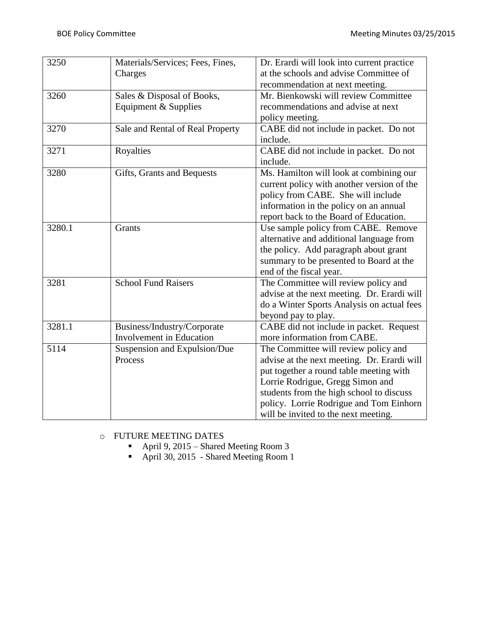| 3250   | Materials/Services; Fees, Fines, | Dr. Erardi will look into current practice  |  |
|--------|----------------------------------|---------------------------------------------|--|
|        | Charges                          | at the schools and advise Committee of      |  |
|        |                                  | recommendation at next meeting.             |  |
| 3260   | Sales & Disposal of Books,       | Mr. Bienkowski will review Committee        |  |
|        | Equipment & Supplies             | recommendations and advise at next          |  |
|        |                                  | policy meeting.                             |  |
| 3270   | Sale and Rental of Real Property | CABE did not include in packet. Do not      |  |
|        |                                  | include.                                    |  |
| 3271   | Royalties                        | CABE did not include in packet. Do not      |  |
|        |                                  | include.                                    |  |
| 3280   | Gifts, Grants and Bequests       | Ms. Hamilton will look at combining our     |  |
|        |                                  | current policy with another version of the  |  |
|        |                                  | policy from CABE. She will include          |  |
|        |                                  | information in the policy on an annual      |  |
|        |                                  | report back to the Board of Education.      |  |
| 3280.1 | Grants                           | Use sample policy from CABE. Remove         |  |
|        |                                  | alternative and additional language from    |  |
|        |                                  | the policy. Add paragraph about grant       |  |
|        |                                  | summary to be presented to Board at the     |  |
|        |                                  | end of the fiscal year.                     |  |
| 3281   | <b>School Fund Raisers</b>       | The Committee will review policy and        |  |
|        |                                  | advise at the next meeting. Dr. Erardi will |  |
|        |                                  | do a Winter Sports Analysis on actual fees  |  |
|        |                                  | beyond pay to play.                         |  |
| 3281.1 | Business/Industry/Corporate      | CABE did not include in packet. Request     |  |
|        | <b>Involvement</b> in Education  | more information from CABE.                 |  |
| 5114   | Suspension and Expulsion/Due     | The Committee will review policy and        |  |
|        | Process                          | advise at the next meeting. Dr. Erardi will |  |
|        |                                  | put together a round table meeting with     |  |
|        |                                  | Lorrie Rodrigue, Gregg Simon and            |  |
|        |                                  | students from the high school to discuss    |  |
|        |                                  | policy. Lorrie Rodrigue and Tom Einhorn     |  |
|        |                                  | will be invited to the next meeting.        |  |

## o FUTURE MEETING DATES

- April 9, 2015 Shared Meeting Room 3
- April 30, 2015 Shared Meeting Room 1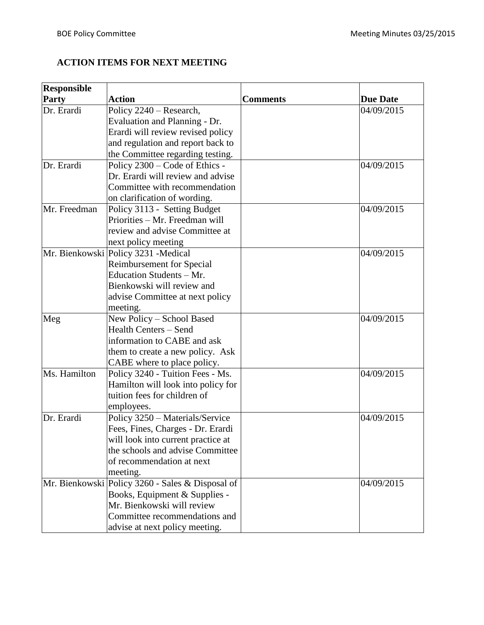## **ACTION ITEMS FOR NEXT MEETING**

| <b>Responsible</b> |                                                  |                 |                 |
|--------------------|--------------------------------------------------|-----------------|-----------------|
| <b>Party</b>       | <b>Action</b>                                    | <b>Comments</b> | <b>Due Date</b> |
| Dr. Erardi         | Policy 2240 - Research,                          |                 | 04/09/2015      |
|                    | Evaluation and Planning - Dr.                    |                 |                 |
|                    | Erardi will review revised policy                |                 |                 |
|                    | and regulation and report back to                |                 |                 |
|                    | the Committee regarding testing.                 |                 |                 |
| Dr. Erardi         | Policy 2300 – Code of Ethics -                   |                 | 04/09/2015      |
|                    | Dr. Erardi will review and advise                |                 |                 |
|                    | Committee with recommendation                    |                 |                 |
|                    | on clarification of wording.                     |                 |                 |
| Mr. Freedman       | Policy 3113 - Setting Budget                     |                 | 04/09/2015      |
|                    | Priorities - Mr. Freedman will                   |                 |                 |
|                    | review and advise Committee at                   |                 |                 |
|                    | next policy meeting                              |                 |                 |
|                    | Mr. Bienkowski Policy 3231 -Medical              |                 | 04/09/2015      |
|                    | <b>Reimbursement for Special</b>                 |                 |                 |
|                    | Education Students - Mr.                         |                 |                 |
|                    | Bienkowski will review and                       |                 |                 |
|                    | advise Committee at next policy                  |                 |                 |
|                    | meeting.                                         |                 |                 |
| Meg                | New Policy - School Based                        |                 | 04/09/2015      |
|                    | <b>Health Centers - Send</b>                     |                 |                 |
|                    | information to CABE and ask                      |                 |                 |
|                    | them to create a new policy. Ask                 |                 |                 |
|                    | CABE where to place policy.                      |                 |                 |
| Ms. Hamilton       | Policy 3240 - Tuition Fees - Ms.                 |                 | 04/09/2015      |
|                    | Hamilton will look into policy for               |                 |                 |
|                    | tuition fees for children of                     |                 |                 |
|                    | employees.                                       |                 |                 |
| Dr. Erardi         | Policy 3250 - Materials/Service                  |                 | 04/09/2015      |
|                    | Fees, Fines, Charges - Dr. Erardi                |                 |                 |
|                    | will look into current practice at               |                 |                 |
|                    | the schools and advise Committee                 |                 |                 |
|                    | of recommendation at next                        |                 |                 |
|                    | meeting.                                         |                 |                 |
|                    | Mr. Bienkowski Policy 3260 - Sales & Disposal of |                 | 04/09/2015      |
|                    | Books, Equipment & Supplies -                    |                 |                 |
|                    | Mr. Bienkowski will review                       |                 |                 |
|                    | Committee recommendations and                    |                 |                 |
|                    | advise at next policy meeting.                   |                 |                 |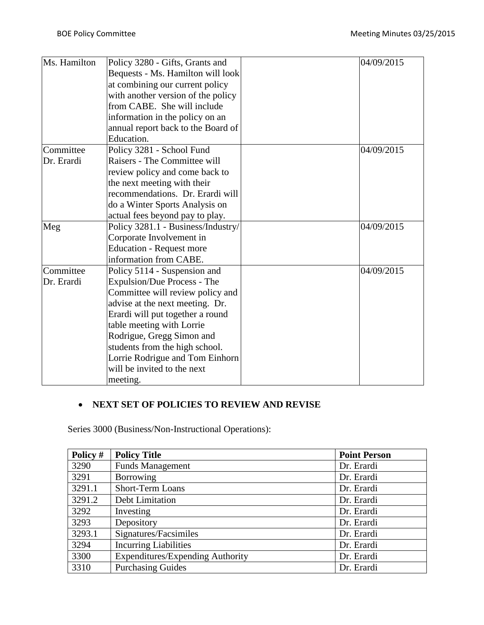| Ms. Hamilton | Policy 3280 - Gifts, Grants and    | 04/09/2015 |
|--------------|------------------------------------|------------|
|              | Bequests - Ms. Hamilton will look  |            |
|              | at combining our current policy    |            |
|              | with another version of the policy |            |
|              | from CABE. She will include        |            |
|              | information in the policy on an    |            |
|              | annual report back to the Board of |            |
|              | Education.                         |            |
| Committee    | Policy 3281 - School Fund          | 04/09/2015 |
| Dr. Erardi   | Raisers - The Committee will       |            |
|              | review policy and come back to     |            |
|              | the next meeting with their        |            |
|              | recommendations. Dr. Erardi will   |            |
|              | do a Winter Sports Analysis on     |            |
|              | actual fees beyond pay to play.    |            |
| Meg          | Policy 3281.1 - Business/Industry/ | 04/09/2015 |
|              | Corporate Involvement in           |            |
|              | <b>Education - Request more</b>    |            |
|              | information from CABE.             |            |
| Committee    | Policy 5114 - Suspension and       | 04/09/2015 |
| Dr. Erardi   | Expulsion/Due Process - The        |            |
|              | Committee will review policy and   |            |
|              | advise at the next meeting. Dr.    |            |
|              | Erardi will put together a round   |            |
|              | table meeting with Lorrie          |            |
|              | Rodrigue, Gregg Simon and          |            |
|              | students from the high school.     |            |
|              | Lorrie Rodrigue and Tom Einhorn    |            |
|              | will be invited to the next        |            |
|              | meeting.                           |            |

## **NEXT SET OF POLICIES TO REVIEW AND REVISE**

Series 3000 (Business/Non-Instructional Operations):

| Policy # | <b>Policy Title</b>                     | <b>Point Person</b> |
|----------|-----------------------------------------|---------------------|
| 3290     | <b>Funds Management</b>                 | Dr. Erardi          |
| 3291     | Borrowing                               | Dr. Erardi          |
| 3291.1   | <b>Short-Term Loans</b>                 | Dr. Erardi          |
| 3291.2   | Debt Limitation                         | Dr. Erardi          |
| 3292     | Investing                               | Dr. Erardi          |
| 3293     | Depository                              | Dr. Erardi          |
| 3293.1   | Signatures/Facsimiles                   | Dr. Erardi          |
| 3294     | <b>Incurring Liabilities</b>            | Dr. Erardi          |
| 3300     | <b>Expenditures/Expending Authority</b> | Dr. Erardi          |
| 3310     | <b>Purchasing Guides</b>                | Dr. Erardi          |